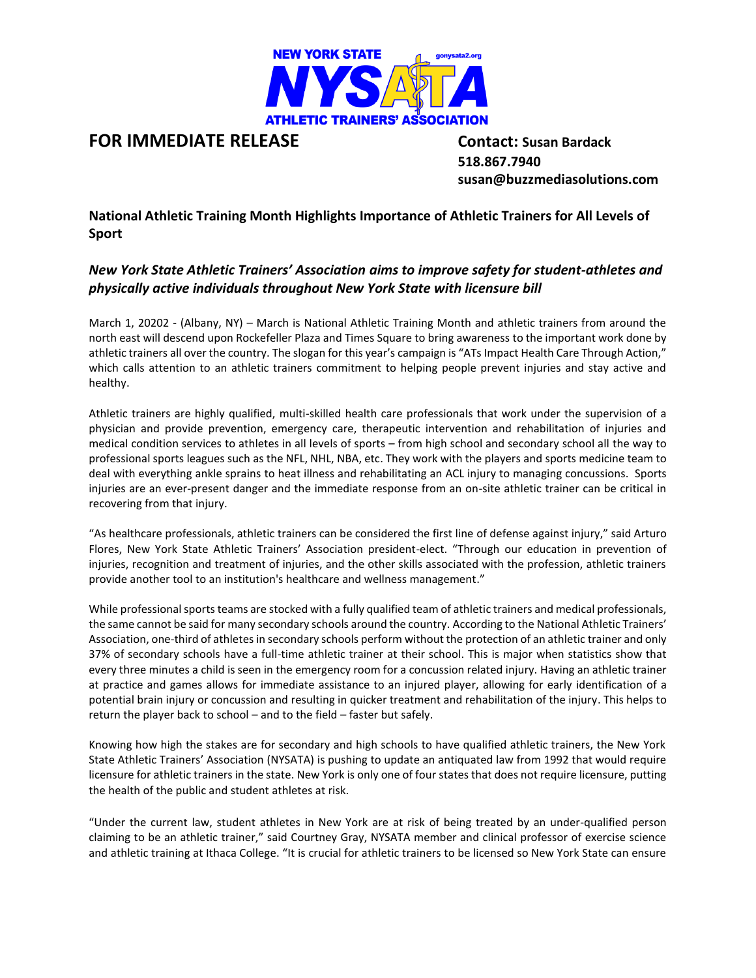

## **FOR IMMEDIATE RELEASE Contact: Susan Bardack**

 **518.867.7940 susan@buzzmediasolutions.com**

**National Athletic Training Month Highlights Importance of Athletic Trainers for All Levels of Sport**

## *New York State Athletic Trainers' Association aims to improve safety for student-athletes and physically active individuals throughout New York State with licensure bill*

March 1, 20202 - (Albany, NY) – March is National Athletic Training Month and athletic trainers from around the north east will descend upon Rockefeller Plaza and Times Square to bring awareness to the important work done by athletic trainers all over the country. The slogan for this year's campaign is "ATs Impact Health Care Through Action," which calls attention to an athletic trainers commitment to helping people prevent injuries and stay active and healthy.

Athletic trainers are highly qualified, multi-skilled health care professionals that work under the supervision of a physician and provide prevention, emergency care, therapeutic intervention and rehabilitation of injuries and medical condition services to athletes in all levels of sports – from high school and secondary school all the way to professional sports leagues such as the NFL, NHL, NBA, etc. They work with the players and sports medicine team to deal with everything ankle sprains to heat illness and rehabilitating an ACL injury to managing concussions. Sports injuries are an ever-present danger and the immediate response from an on-site athletic trainer can be critical in recovering from that injury.

"As healthcare professionals, athletic trainers can be considered the first line of defense against injury," said Arturo Flores, New York State Athletic Trainers' Association president-elect. "Through our education in prevention of injuries, recognition and treatment of injuries, and the other skills associated with the profession, athletic trainers provide another tool to an institution's healthcare and wellness management."

While professional sports teams are stocked with a fully qualified team of athletic trainers and medical professionals, the same cannot be said for many secondary schools around the country. According to the National Athletic Trainers' Association, one-third of athletes in secondary schools perform without the protection of an athletic trainer and only 37% of secondary schools have a full-time athletic trainer at their school. This is major when statistics show that every three minutes a child is seen in the emergency room for a concussion related injury. Having an athletic trainer at practice and games allows for immediate assistance to an injured player, allowing for early identification of a potential brain injury or concussion and resulting in quicker treatment and rehabilitation of the injury. This helps to return the player back to school – and to the field – faster but safely.

Knowing how high the stakes are for secondary and high schools to have qualified athletic trainers, the New York State Athletic Trainers' Association (NYSATA) is pushing to update an antiquated law from 1992 that would require licensure for athletic trainers in the state. New York is only one of four states that does not require licensure, putting the health of the public and student athletes at risk.

"Under the current law, student athletes in New York are at risk of being treated by an under-qualified person claiming to be an athletic trainer," said Courtney Gray, NYSATA member and clinical professor of exercise science and athletic training at Ithaca College. "It is crucial for athletic trainers to be licensed so New York State can ensure